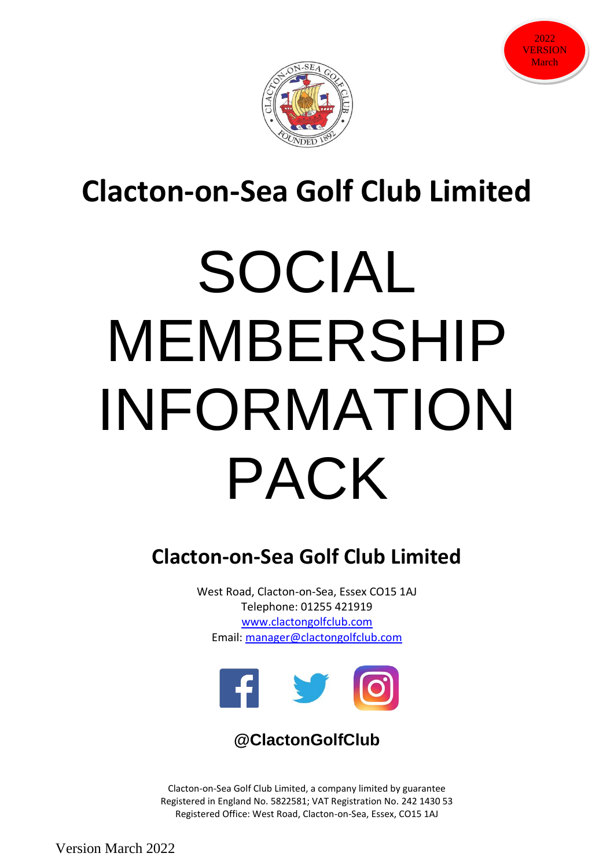



# **Clacton-on-Sea Golf Club Limited**

# SOCIAL MEMBERSHIP INFORMATION PACK

## **Clacton-on-Sea Golf Club Limited**

West Road, Clacton-on-Sea, Essex CO15 1AJ Telephone: 01255 421919 [www.clactongolfclub.com](http://www.clactongolfclub.com/) Email: [manager@clactongolfclub.com](mailto:manager@clactongolfclub.com)



#### **@ClactonGolfClub**

Clacton-on-Sea Golf Club Limited, a company limited by guarantee Registered in England No. 5822581; VAT Registration No. 242 1430 53 Registered Office: West Road, Clacton-on-Sea, Essex, CO15 1AJ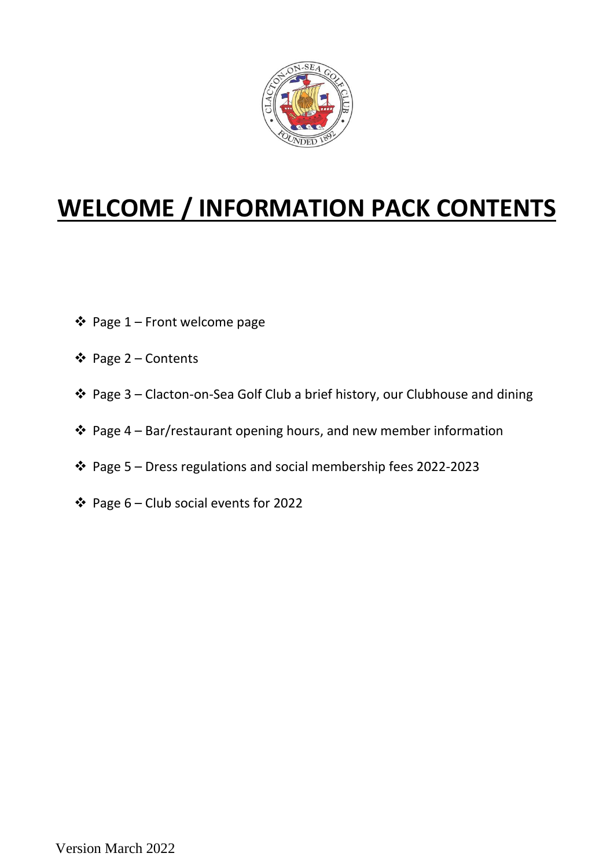

## **WELCOME / INFORMATION PACK CONTENTS**

- ❖ Page 1 Front welcome page
- ❖ Page 2 Contents
- ❖ Page 3 Clacton-on-Sea Golf Club a brief history, our Clubhouse and dining
- ❖ Page 4 Bar/restaurant opening hours, and new member information
- ❖ Page 5 Dress regulations and social membership fees 2022-2023
- ❖ Page 6 Club social events for 2022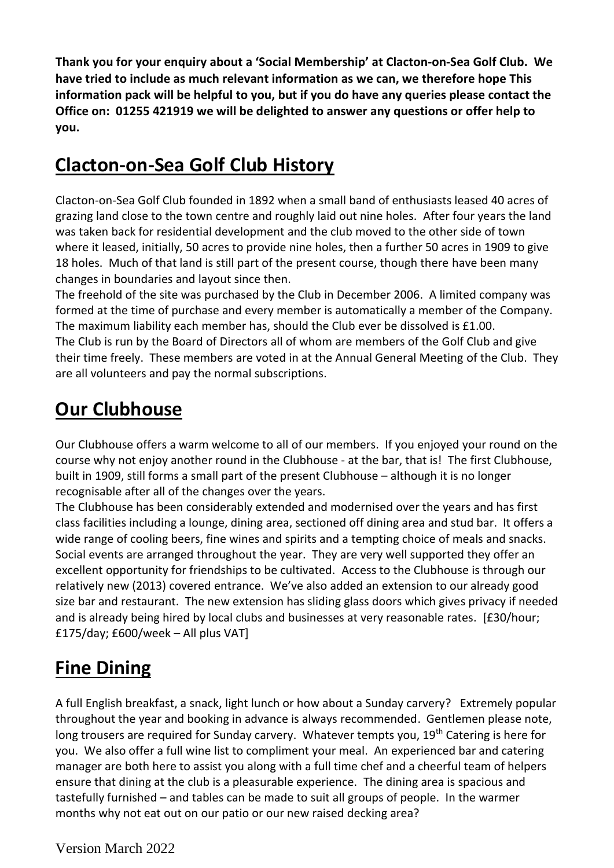**Thank you for your enquiry about a 'Social Membership' at Clacton-on-Sea Golf Club. We have tried to include as much relevant information as we can, we therefore hope This information pack will be helpful to you, but if you do have any queries please contact the Office on: 01255 421919 we will be delighted to answer any questions or offer help to you.**

### **Clacton-on-Sea Golf Club History**

Clacton-on-Sea Golf Club founded in 1892 when a small band of enthusiasts leased 40 acres of grazing land close to the town centre and roughly laid out nine holes. After four years the land was taken back for residential development and the club moved to the other side of town where it leased, initially, 50 acres to provide nine holes, then a further 50 acres in 1909 to give 18 holes. Much of that land is still part of the present course, though there have been many changes in boundaries and layout since then.

The freehold of the site was purchased by the Club in December 2006. A limited company was formed at the time of purchase and every member is automatically a member of the Company. The maximum liability each member has, should the Club ever be dissolved is £1.00. The Club is run by the Board of Directors all of whom are members of the Golf Club and give their time freely. These members are voted in at the Annual General Meeting of the Club. They are all volunteers and pay the normal subscriptions.

### **Our Clubhouse**

Our Clubhouse offers a warm welcome to all of our members. If you enjoyed your round on the course why not enjoy another round in the Clubhouse - at the bar, that is! The first Clubhouse, built in 1909, still forms a small part of the present Clubhouse – although it is no longer recognisable after all of the changes over the years.

The Clubhouse has been considerably extended and modernised over the years and has first class facilities including a lounge, dining area, sectioned off dining area and stud bar. It offers a wide range of cooling beers, fine wines and spirits and a tempting choice of meals and snacks. Social events are arranged throughout the year. They are very well supported they offer an excellent opportunity for friendships to be cultivated. Access to the Clubhouse is through our relatively new (2013) covered entrance. We've also added an extension to our already good size bar and restaurant. The new extension has sliding glass doors which gives privacy if needed and is already being hired by local clubs and businesses at very reasonable rates. [£30/hour; £175/day; £600/week – All plus VAT]

## **Fine Dining**

A full English breakfast, a snack, light lunch or how about a Sunday carvery? Extremely popular throughout the year and booking in advance is always recommended. Gentlemen please note, long trousers are required for Sunday carvery. Whatever tempts you, 19<sup>th</sup> Catering is here for you. We also offer a full wine list to compliment your meal. An experienced bar and catering manager are both here to assist you along with a full time chef and a cheerful team of helpers ensure that dining at the club is a pleasurable experience. The dining area is spacious and tastefully furnished – and tables can be made to suit all groups of people. In the warmer months why not eat out on our patio or our new raised decking area?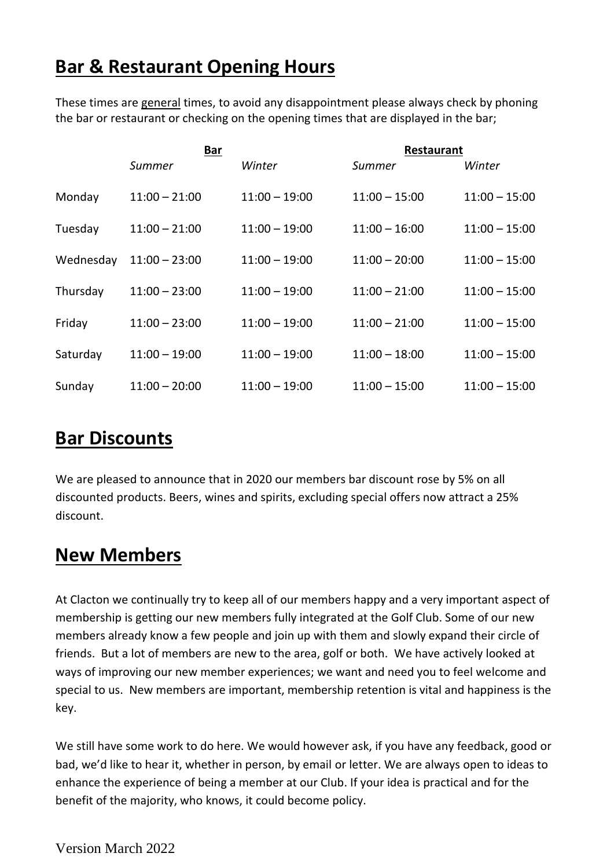#### **Bar & Restaurant Opening Hours**

These times are general times, to avoid any disappointment please always check by phoning the bar or restaurant or checking on the opening times that are displayed in the bar;

|           | <u>Bar</u>      |                 | <b>Restaurant</b> |                 |
|-----------|-----------------|-----------------|-------------------|-----------------|
|           | Summer          | Winter          | Summer            | Winter          |
| Monday    | $11:00 - 21:00$ | $11:00 - 19:00$ | $11:00 - 15:00$   | $11:00 - 15:00$ |
| Tuesday   | $11:00 - 21:00$ | $11:00 - 19:00$ | $11:00 - 16:00$   | $11:00 - 15:00$ |
| Wednesday | $11:00 - 23:00$ | $11:00 - 19:00$ | $11:00 - 20:00$   | $11:00 - 15:00$ |
| Thursday  | $11:00 - 23:00$ | $11:00 - 19:00$ | $11:00 - 21:00$   | $11:00 - 15:00$ |
| Friday    | $11:00 - 23:00$ | $11:00 - 19:00$ | $11:00 - 21:00$   | $11:00 - 15:00$ |
| Saturday  | $11:00 - 19:00$ | $11:00 - 19:00$ | $11:00 - 18:00$   | $11:00 - 15:00$ |
| Sunday    | $11:00 - 20:00$ | $11:00 - 19:00$ | $11:00 - 15:00$   | $11:00 - 15:00$ |

#### **Bar Discounts**

We are pleased to announce that in 2020 our members bar discount rose by 5% on all discounted products. Beers, wines and spirits, excluding special offers now attract a 25% discount.

#### **New Members**

At Clacton we continually try to keep all of our members happy and a very important aspect of membership is getting our new members fully integrated at the Golf Club. Some of our new members already know a few people and join up with them and slowly expand their circle of friends. But a lot of members are new to the area, golf or both. We have actively looked at ways of improving our new member experiences; we want and need you to feel welcome and special to us. New members are important, membership retention is vital and happiness is the key.

We still have some work to do here. We would however ask, if you have any feedback, good or bad, we'd like to hear it, whether in person, by email or letter. We are always open to ideas to enhance the experience of being a member at our Club. If your idea is practical and for the benefit of the majority, who knows, it could become policy.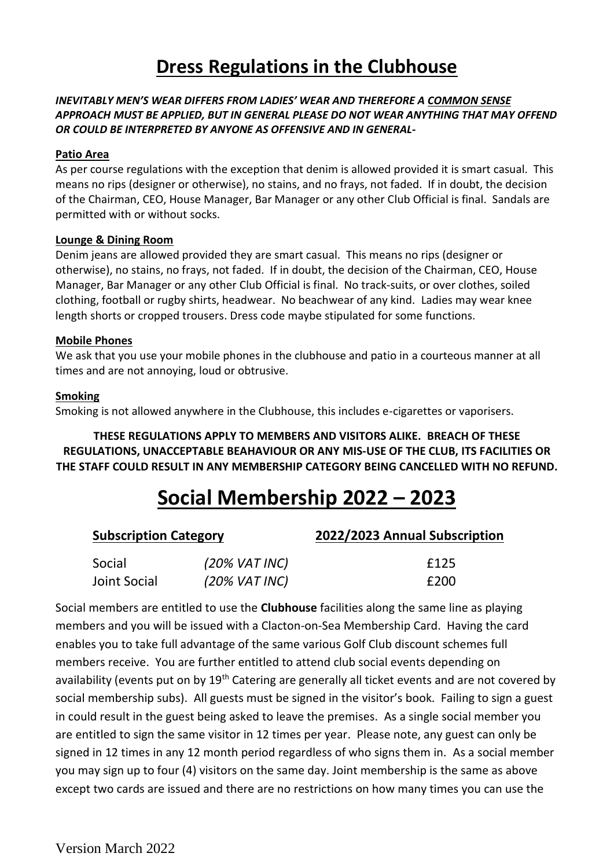#### **Dress Regulations in the Clubhouse**

#### *INEVITABLY MEN'S WEAR DIFFERS FROM LADIES' WEAR AND THEREFORE A COMMON SENSE APPROACH MUST BE APPLIED, BUT IN GENERAL PLEASE DO NOT WEAR ANYTHING THAT MAY OFFEND OR COULD BE INTERPRETED BY ANYONE AS OFFENSIVE AND IN GENERAL-*

#### **Patio Area**

As per course regulations with the exception that denim is allowed provided it is smart casual. This means no rips (designer or otherwise), no stains, and no frays, not faded. If in doubt, the decision of the Chairman, CEO, House Manager, Bar Manager or any other Club Official is final. Sandals are permitted with or without socks.

#### **Lounge & Dining Room**

Denim jeans are allowed provided they are smart casual. This means no rips (designer or otherwise), no stains, no frays, not faded. If in doubt, the decision of the Chairman, CEO, House Manager, Bar Manager or any other Club Official is final. No track-suits, or over clothes, soiled clothing, football or rugby shirts, headwear. No beachwear of any kind. Ladies may wear knee length shorts or cropped trousers. Dress code maybe stipulated for some functions.

#### **Mobile Phones**

We ask that you use your mobile phones in the clubhouse and patio in a courteous manner at all times and are not annoying, loud or obtrusive.

#### **Smoking**

Smoking is not allowed anywhere in the Clubhouse, this includes e-cigarettes or vaporisers.

**THESE REGULATIONS APPLY TO MEMBERS AND VISITORS ALIKE. BREACH OF THESE REGULATIONS, UNACCEPTABLE BEAHAVIOUR OR ANY MIS-USE OF THE CLUB, ITS FACILITIES OR THE STAFF COULD RESULT IN ANY MEMBERSHIP CATEGORY BEING CANCELLED WITH NO REFUND.**

## **Social Membership 2022 – 2023**

| <b>Subscription Category</b> |                  | 2022/2023 Annual Subscription |  |
|------------------------------|------------------|-------------------------------|--|
| Social                       | $(20\%$ VAT INC) | £125                          |  |
| Joint Social                 | $(20\%$ VAT INC) | £200                          |  |

Social members are entitled to use the **Clubhouse** facilities along the same line as playing members and you will be issued with a Clacton-on-Sea Membership Card. Having the card enables you to take full advantage of the same various Golf Club discount schemes full members receive. You are further entitled to attend club social events depending on availability (events put on by 19<sup>th</sup> Catering are generally all ticket events and are not covered by social membership subs). All guests must be signed in the visitor's book. Failing to sign a guest in could result in the guest being asked to leave the premises. As a single social member you are entitled to sign the same visitor in 12 times per year. Please note, any guest can only be signed in 12 times in any 12 month period regardless of who signs them in. As a social member you may sign up to four (4) visitors on the same day. Joint membership is the same as above except two cards are issued and there are no restrictions on how many times you can use the